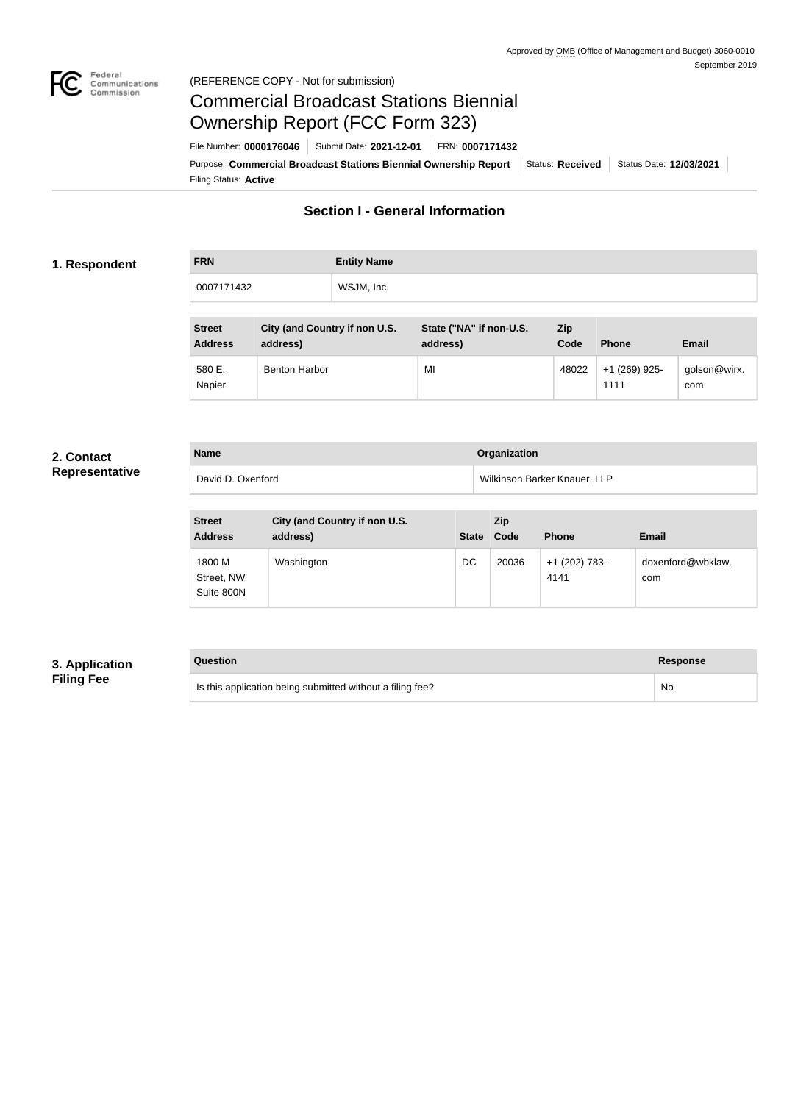

### Federal<br>Communications<br>Commission (REFERENCE COPY - Not for submission)

# Commercial Broadcast Stations Biennial Ownership Report (FCC Form 323)

Filing Status: **Active** Purpose: Commercial Broadcast Stations Biennial Ownership Report Status: Received Status Date: 12/03/2021 File Number: **0000176046** Submit Date: **2021-12-01** FRN: **0007171432**

## **Section I - General Information**

### **1. Respondent**

**FRN Entity Name** 0007171432 WSJM, Inc.

| <b>Street</b><br><b>Address</b> | City (and Country if non U.S.<br>address) | State ("NA" if non-U.S.<br>address) | <b>Zip</b><br>Code | <b>Phone</b>          | Email               |
|---------------------------------|-------------------------------------------|-------------------------------------|--------------------|-----------------------|---------------------|
| 580 E.<br>Napier                | <b>Benton Harbor</b>                      | MI                                  | 48022              | +1 (269) 925-<br>1111 | golson@wirx.<br>com |

### **2. Contact Representative**

**Name Organization** David D. Oxenford **D.** Oxenford Wilkinson Barker Knauer, LLP

| <b>Street</b><br><b>Address</b>    | City (and Country if non U.S.<br>address) | <b>State</b> | Zip<br>Code | <b>Phone</b>          | Email                    |
|------------------------------------|-------------------------------------------|--------------|-------------|-----------------------|--------------------------|
| 1800 M<br>Street, NW<br>Suite 800N | Washington                                | DC           | 20036       | +1 (202) 783-<br>4141 | doxenford@wbklaw.<br>com |

### **3. Application Filing Fee**

### **Question Response**

Is this application being submitted without a filing fee? No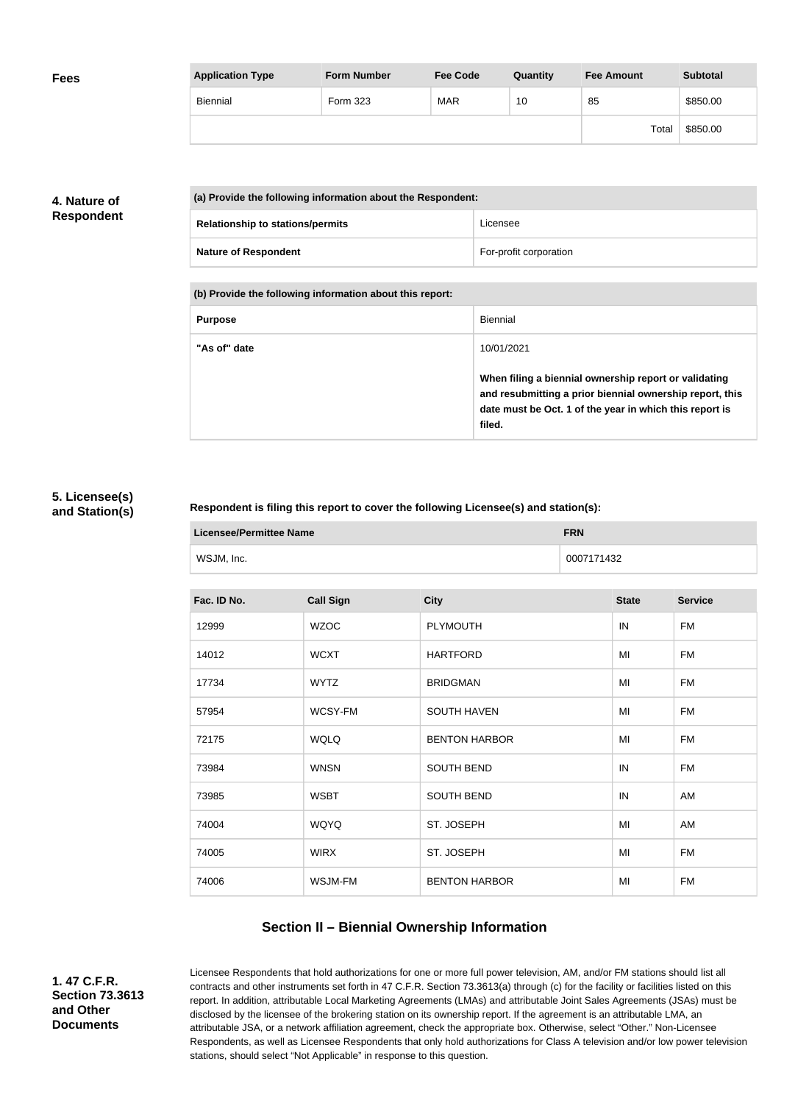| <b>Fees</b> | <b>Application Type</b> | <b>Form Number</b> | <b>Fee Code</b> | Quantity | <b>Fee Amount</b> | <b>Subtotal</b> |
|-------------|-------------------------|--------------------|-----------------|----------|-------------------|-----------------|
|             | Biennial                | Form 323           | <b>MAR</b>      | 10       | 85                | \$850.00        |
|             |                         |                    |                 |          | Total             | \$850.00        |

### **4. Nature of Respondent**

| (a) Provide the following information about the Respondent: |                        |  |
|-------------------------------------------------------------|------------------------|--|
| <b>Relationship to stations/permits</b>                     | Licensee               |  |
| <b>Nature of Respondent</b>                                 | For-profit corporation |  |

**(b) Provide the following information about this report:**

| <b>Purpose</b> | Biennial                                                                                                                                                                               |
|----------------|----------------------------------------------------------------------------------------------------------------------------------------------------------------------------------------|
| "As of" date   | 10/01/2021                                                                                                                                                                             |
|                | When filing a biennial ownership report or validating<br>and resubmitting a prior biennial ownership report, this<br>date must be Oct. 1 of the year in which this report is<br>filed. |

### **5. Licensee(s) and Station(s)**

### **Respondent is filing this report to cover the following Licensee(s) and station(s):**

| Licensee/Permittee Name | <b>FRN</b> |
|-------------------------|------------|
| WSJM, Inc.              | 0007171432 |

| Fac. ID No. | <b>Call Sign</b> | <b>City</b>          | <b>State</b> | <b>Service</b> |
|-------------|------------------|----------------------|--------------|----------------|
| 12999       | <b>WZOC</b>      | <b>PLYMOUTH</b>      | IN           | <b>FM</b>      |
| 14012       | <b>WCXT</b>      | <b>HARTFORD</b>      | MI           | <b>FM</b>      |
| 17734       | <b>WYTZ</b>      | <b>BRIDGMAN</b>      | MI           | <b>FM</b>      |
| 57954       | WCSY-FM          | <b>SOUTH HAVEN</b>   | MI           | <b>FM</b>      |
| 72175       | <b>WQLQ</b>      | <b>BENTON HARBOR</b> | MI           | <b>FM</b>      |
| 73984       | <b>WNSN</b>      | <b>SOUTH BEND</b>    | IN           | <b>FM</b>      |
| 73985       | <b>WSBT</b>      | <b>SOUTH BEND</b>    | IN           | AM             |
| 74004       | <b>WQYQ</b>      | ST. JOSEPH           | MI           | AM             |
| 74005       | <b>WIRX</b>      | ST. JOSEPH           | MI           | <b>FM</b>      |
| 74006       | WSJM-FM          | <b>BENTON HARBOR</b> | MI           | <b>FM</b>      |
|             |                  |                      |              |                |

### **Section II – Biennial Ownership Information**

**1. 47 C.F.R. Section 73.3613 and Other Documents**

Licensee Respondents that hold authorizations for one or more full power television, AM, and/or FM stations should list all contracts and other instruments set forth in 47 C.F.R. Section 73.3613(a) through (c) for the facility or facilities listed on this report. In addition, attributable Local Marketing Agreements (LMAs) and attributable Joint Sales Agreements (JSAs) must be disclosed by the licensee of the brokering station on its ownership report. If the agreement is an attributable LMA, an attributable JSA, or a network affiliation agreement, check the appropriate box. Otherwise, select "Other." Non-Licensee Respondents, as well as Licensee Respondents that only hold authorizations for Class A television and/or low power television stations, should select "Not Applicable" in response to this question.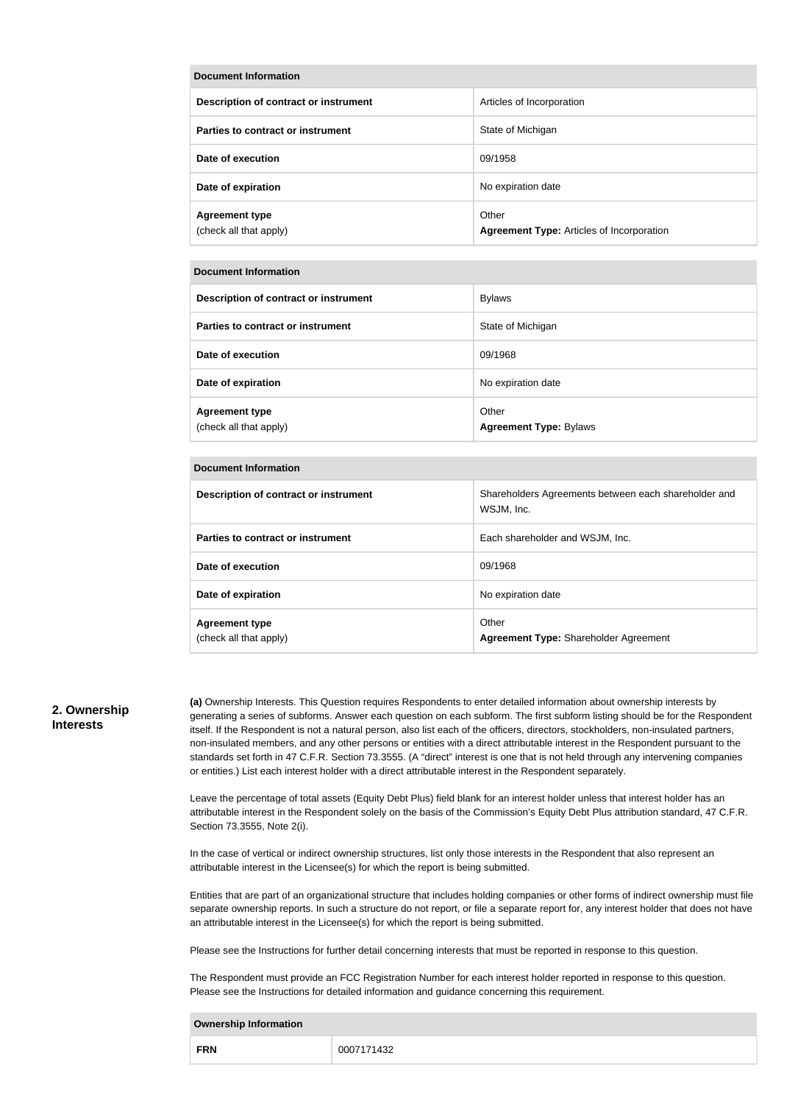| Document Information                            |                                                           |  |  |  |
|-------------------------------------------------|-----------------------------------------------------------|--|--|--|
| Description of contract or instrument           | Articles of Incorporation                                 |  |  |  |
| Parties to contract or instrument               | State of Michigan                                         |  |  |  |
| Date of execution                               | 09/1958                                                   |  |  |  |
| Date of expiration                              | No expiration date                                        |  |  |  |
| <b>Agreement type</b><br>(check all that apply) | Other<br><b>Agreement Type: Articles of Incorporation</b> |  |  |  |

#### **Document Information**

| Description of contract or instrument           | <b>Bylaws</b>                          |
|-------------------------------------------------|----------------------------------------|
| Parties to contract or instrument               | State of Michigan                      |
| Date of execution                               | 09/1968                                |
| Date of expiration                              | No expiration date                     |
| <b>Agreement type</b><br>(check all that apply) | Other<br><b>Agreement Type: Bylaws</b> |

#### **Document Information**

| Description of contract or instrument           | Shareholders Agreements between each shareholder and<br>WSJM, Inc. |
|-------------------------------------------------|--------------------------------------------------------------------|
| Parties to contract or instrument               | Each shareholder and WSJM, Inc.                                    |
| Date of execution                               | 09/1968                                                            |
| Date of expiration                              | No expiration date                                                 |
| <b>Agreement type</b><br>(check all that apply) | Other<br>Agreement Type: Shareholder Agreement                     |

#### **2. Ownership Interests**

**(a)** Ownership Interests. This Question requires Respondents to enter detailed information about ownership interests by generating a series of subforms. Answer each question on each subform. The first subform listing should be for the Respondent itself. If the Respondent is not a natural person, also list each of the officers, directors, stockholders, non-insulated partners, non-insulated members, and any other persons or entities with a direct attributable interest in the Respondent pursuant to the standards set forth in 47 C.F.R. Section 73.3555. (A "direct" interest is one that is not held through any intervening companies or entities.) List each interest holder with a direct attributable interest in the Respondent separately.

Leave the percentage of total assets (Equity Debt Plus) field blank for an interest holder unless that interest holder has an attributable interest in the Respondent solely on the basis of the Commission's Equity Debt Plus attribution standard, 47 C.F.R. Section 73.3555, Note 2(i).

In the case of vertical or indirect ownership structures, list only those interests in the Respondent that also represent an attributable interest in the Licensee(s) for which the report is being submitted.

Entities that are part of an organizational structure that includes holding companies or other forms of indirect ownership must file separate ownership reports. In such a structure do not report, or file a separate report for, any interest holder that does not have an attributable interest in the Licensee(s) for which the report is being submitted.

Please see the Instructions for further detail concerning interests that must be reported in response to this question.

The Respondent must provide an FCC Registration Number for each interest holder reported in response to this question. Please see the Instructions for detailed information and guidance concerning this requirement.

| <b>Ownership Information</b> |            |  |  |  |
|------------------------------|------------|--|--|--|
| <b>FRN</b>                   | 0007171432 |  |  |  |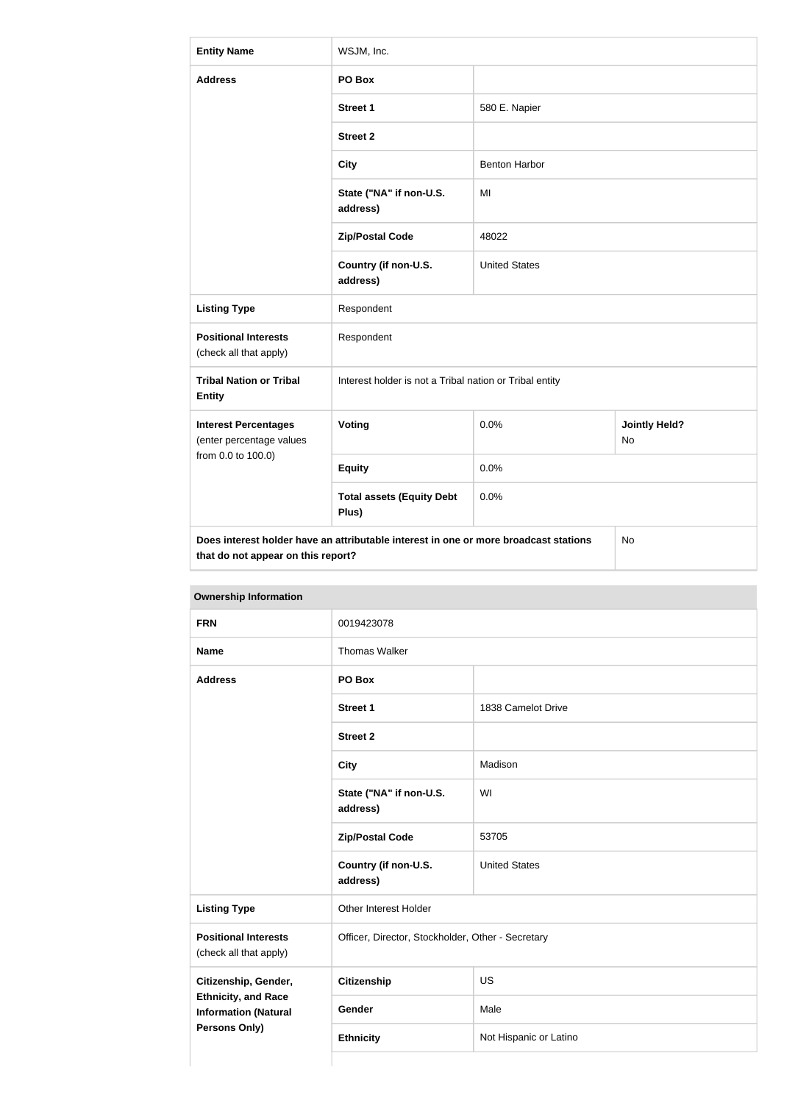| <b>Entity Name</b>                                                                                                               | WSJM, Inc.                                              |                      |                             |  |
|----------------------------------------------------------------------------------------------------------------------------------|---------------------------------------------------------|----------------------|-----------------------------|--|
| <b>Address</b>                                                                                                                   | PO Box                                                  |                      |                             |  |
|                                                                                                                                  | <b>Street 1</b>                                         | 580 E. Napier        |                             |  |
|                                                                                                                                  | <b>Street 2</b>                                         |                      |                             |  |
|                                                                                                                                  | <b>City</b>                                             | <b>Benton Harbor</b> |                             |  |
|                                                                                                                                  | State ("NA" if non-U.S.<br>address)                     | MI                   |                             |  |
|                                                                                                                                  | <b>Zip/Postal Code</b>                                  | 48022                |                             |  |
|                                                                                                                                  | Country (if non-U.S.<br>address)                        | <b>United States</b> |                             |  |
| <b>Listing Type</b>                                                                                                              | Respondent                                              |                      |                             |  |
| <b>Positional Interests</b><br>(check all that apply)                                                                            | Respondent                                              |                      |                             |  |
| <b>Tribal Nation or Tribal</b><br><b>Entity</b>                                                                                  | Interest holder is not a Tribal nation or Tribal entity |                      |                             |  |
| <b>Interest Percentages</b><br>(enter percentage values                                                                          | <b>Voting</b>                                           | 0.0%                 | <b>Jointly Held?</b><br>No. |  |
| from 0.0 to 100.0)                                                                                                               | <b>Equity</b>                                           | 0.0%                 |                             |  |
|                                                                                                                                  | <b>Total assets (Equity Debt</b><br>Plus)               | 0.0%                 |                             |  |
| Does interest holder have an attributable interest in one or more broadcast stations<br>No<br>that do not appear on this report? |                                                         |                      |                             |  |

| <b>Ownership Information</b>                                               |                                     |                                                   |  |
|----------------------------------------------------------------------------|-------------------------------------|---------------------------------------------------|--|
| <b>FRN</b>                                                                 | 0019423078                          |                                                   |  |
| <b>Name</b>                                                                | <b>Thomas Walker</b>                |                                                   |  |
| <b>Address</b>                                                             | PO Box                              |                                                   |  |
|                                                                            | Street 1                            | 1838 Camelot Drive                                |  |
|                                                                            | <b>Street 2</b>                     |                                                   |  |
|                                                                            | <b>City</b>                         | Madison                                           |  |
|                                                                            | State ("NA" if non-U.S.<br>address) | WI                                                |  |
|                                                                            | <b>Zip/Postal Code</b>              | 53705                                             |  |
|                                                                            | Country (if non-U.S.<br>address)    | <b>United States</b>                              |  |
| <b>Listing Type</b>                                                        | Other Interest Holder               |                                                   |  |
| <b>Positional Interests</b><br>(check all that apply)                      |                                     | Officer, Director, Stockholder, Other - Secretary |  |
| Citizenship, Gender,                                                       | <b>Citizenship</b>                  | US                                                |  |
| <b>Ethnicity, and Race</b><br><b>Information (Natural</b><br>Persons Only) | Gender                              | Male                                              |  |
|                                                                            | <b>Ethnicity</b>                    | Not Hispanic or Latino                            |  |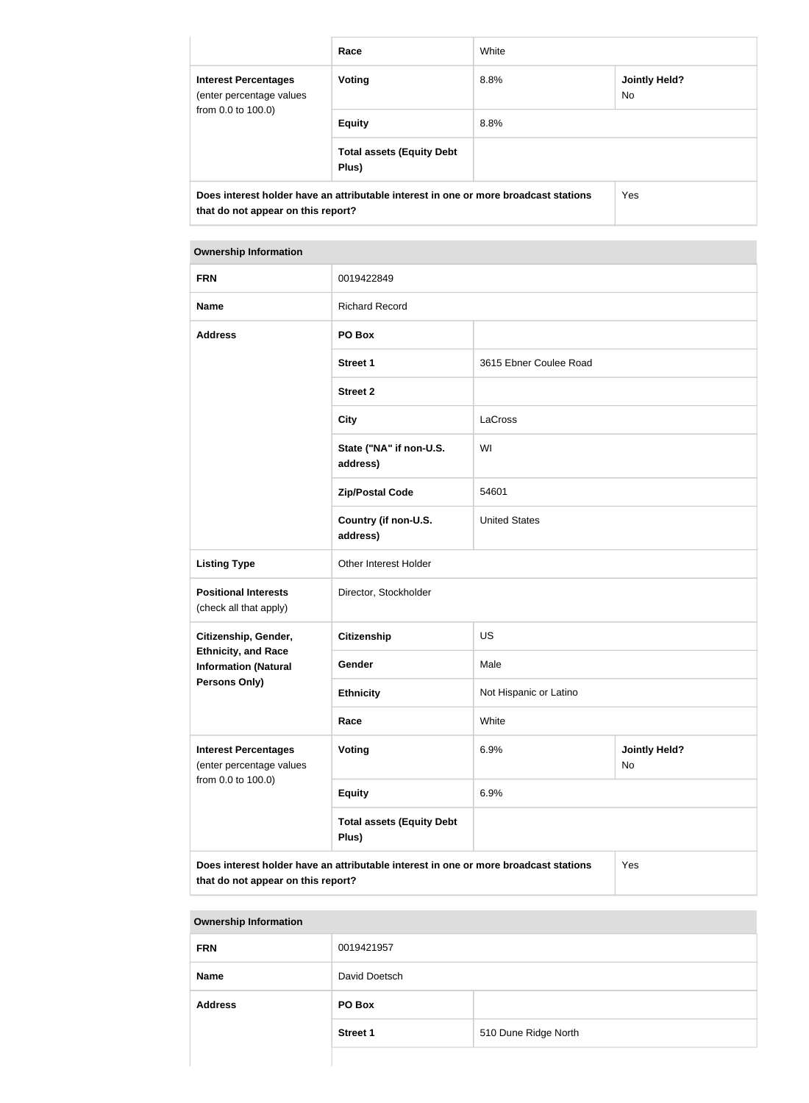|                                                                                                                            | Race                                      | White |                             |
|----------------------------------------------------------------------------------------------------------------------------|-------------------------------------------|-------|-----------------------------|
| <b>Interest Percentages</b><br>(enter percentage values<br>from 0.0 to 100.0)                                              | <b>Voting</b>                             | 8.8%  | <b>Jointly Held?</b><br>No. |
|                                                                                                                            | <b>Equity</b>                             | 8.8%  |                             |
|                                                                                                                            | <b>Total assets (Equity Debt</b><br>Plus) |       |                             |
| Does interest holder have an attributable interest in one or more broadcast stations<br>that do not appear on this report? |                                           | Yes   |                             |

| <b>Ownership Information</b>                                                                                                      |                                           |                        |                            |
|-----------------------------------------------------------------------------------------------------------------------------------|-------------------------------------------|------------------------|----------------------------|
| <b>FRN</b>                                                                                                                        | 0019422849                                |                        |                            |
| <b>Name</b>                                                                                                                       | <b>Richard Record</b>                     |                        |                            |
| <b>Address</b>                                                                                                                    | PO Box                                    |                        |                            |
|                                                                                                                                   | <b>Street 1</b>                           | 3615 Ebner Coulee Road |                            |
|                                                                                                                                   | <b>Street 2</b>                           |                        |                            |
|                                                                                                                                   | <b>City</b>                               | LaCross                |                            |
|                                                                                                                                   | State ("NA" if non-U.S.<br>address)       | WI                     |                            |
|                                                                                                                                   | <b>Zip/Postal Code</b>                    | 54601                  |                            |
|                                                                                                                                   | Country (if non-U.S.<br>address)          | <b>United States</b>   |                            |
| <b>Listing Type</b>                                                                                                               | Other Interest Holder                     |                        |                            |
| <b>Positional Interests</b><br>(check all that apply)                                                                             | Director, Stockholder                     |                        |                            |
| Citizenship, Gender,                                                                                                              | <b>Citizenship</b>                        | <b>US</b>              |                            |
| <b>Ethnicity, and Race</b><br><b>Information (Natural</b>                                                                         | Gender                                    | Male                   |                            |
| <b>Persons Only)</b>                                                                                                              | <b>Ethnicity</b>                          | Not Hispanic or Latino |                            |
|                                                                                                                                   | Race                                      | White                  |                            |
| <b>Interest Percentages</b><br>(enter percentage values                                                                           | <b>Voting</b>                             | 6.9%                   | <b>Jointly Held?</b><br>No |
| from 0.0 to 100.0)                                                                                                                | <b>Equity</b>                             | 6.9%                   |                            |
|                                                                                                                                   | <b>Total assets (Equity Debt</b><br>Plus) |                        |                            |
| Does interest holder have an attributable interest in one or more broadcast stations<br>Yes<br>that do not appear on this report? |                                           |                        |                            |

| <b>FRN</b>     | 0019421957      |                      |
|----------------|-----------------|----------------------|
| <b>Name</b>    | David Doetsch   |                      |
| <b>Address</b> | PO Box          |                      |
|                | <b>Street 1</b> | 510 Dune Ridge North |
|                |                 |                      |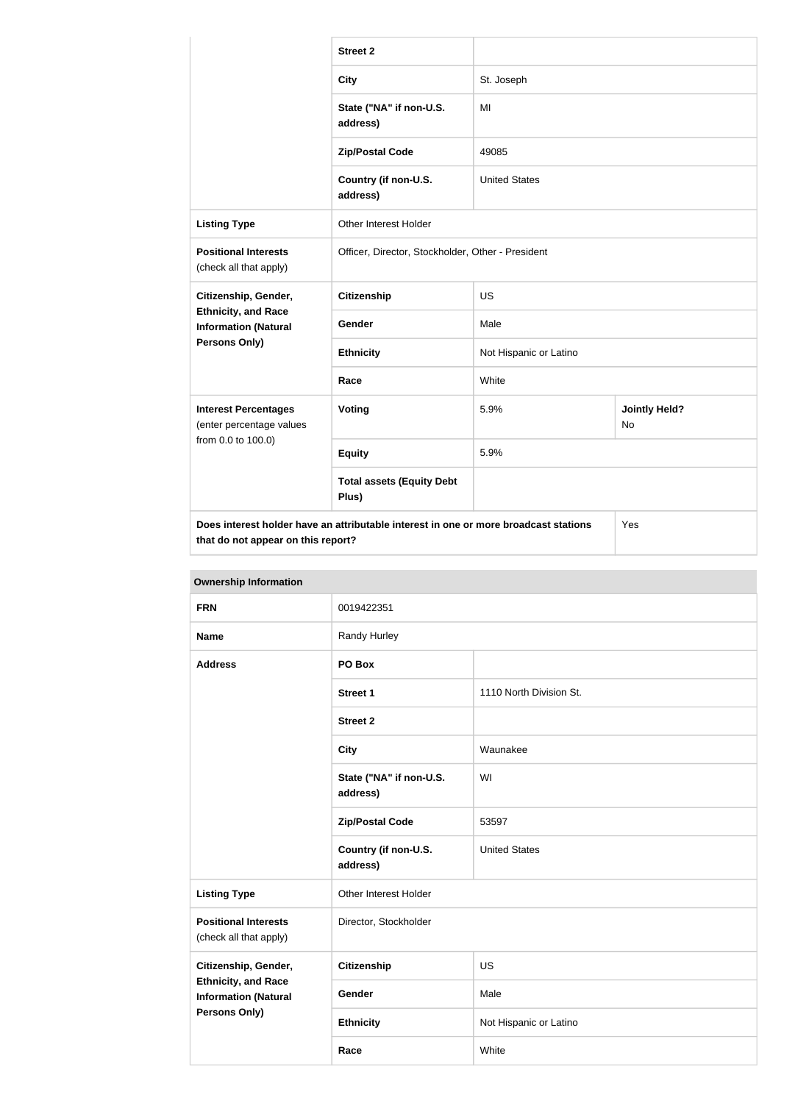|                                                           | <b>Street 2</b>                                                                      |                        |                                   |
|-----------------------------------------------------------|--------------------------------------------------------------------------------------|------------------------|-----------------------------------|
|                                                           | <b>City</b>                                                                          | St. Joseph             |                                   |
|                                                           | State ("NA" if non-U.S.<br>address)                                                  | MI                     |                                   |
|                                                           | <b>Zip/Postal Code</b>                                                               | 49085                  |                                   |
|                                                           | Country (if non-U.S.<br>address)                                                     | <b>United States</b>   |                                   |
| <b>Listing Type</b>                                       | Other Interest Holder                                                                |                        |                                   |
| <b>Positional Interests</b><br>(check all that apply)     | Officer, Director, Stockholder, Other - President                                    |                        |                                   |
| Citizenship, Gender,                                      | <b>Citizenship</b>                                                                   | <b>US</b>              |                                   |
| <b>Ethnicity, and Race</b><br><b>Information (Natural</b> | Gender                                                                               | Male                   |                                   |
| <b>Persons Only)</b>                                      | <b>Ethnicity</b>                                                                     | Not Hispanic or Latino |                                   |
|                                                           | Race                                                                                 | White                  |                                   |
| <b>Interest Percentages</b><br>(enter percentage values   | Voting                                                                               | 5.9%                   | <b>Jointly Held?</b><br><b>No</b> |
| from 0.0 to 100.0)                                        | <b>Equity</b>                                                                        | 5.9%                   |                                   |
|                                                           | <b>Total assets (Equity Debt</b><br>Plus)                                            |                        |                                   |
| that do not appear on this report?                        | Does interest holder have an attributable interest in one or more broadcast stations |                        | Yes                               |

| <b>Ownership Information</b>                              |                                     |                         |  |
|-----------------------------------------------------------|-------------------------------------|-------------------------|--|
| <b>FRN</b>                                                | 0019422351                          |                         |  |
| <b>Name</b>                                               | Randy Hurley                        |                         |  |
| <b>Address</b>                                            | PO Box                              |                         |  |
|                                                           | Street 1                            | 1110 North Division St. |  |
|                                                           | <b>Street 2</b>                     |                         |  |
|                                                           | <b>City</b>                         | Waunakee                |  |
|                                                           | State ("NA" if non-U.S.<br>address) | WI                      |  |
|                                                           | <b>Zip/Postal Code</b>              | 53597                   |  |
|                                                           | Country (if non-U.S.<br>address)    | <b>United States</b>    |  |
| <b>Listing Type</b>                                       | Other Interest Holder               |                         |  |
| <b>Positional Interests</b><br>(check all that apply)     | Director, Stockholder               |                         |  |
| Citizenship, Gender,                                      | <b>Citizenship</b>                  | <b>US</b>               |  |
| <b>Ethnicity, and Race</b><br><b>Information (Natural</b> | Gender                              | Male                    |  |
| <b>Persons Only)</b>                                      | <b>Ethnicity</b>                    | Not Hispanic or Latino  |  |

**Race** White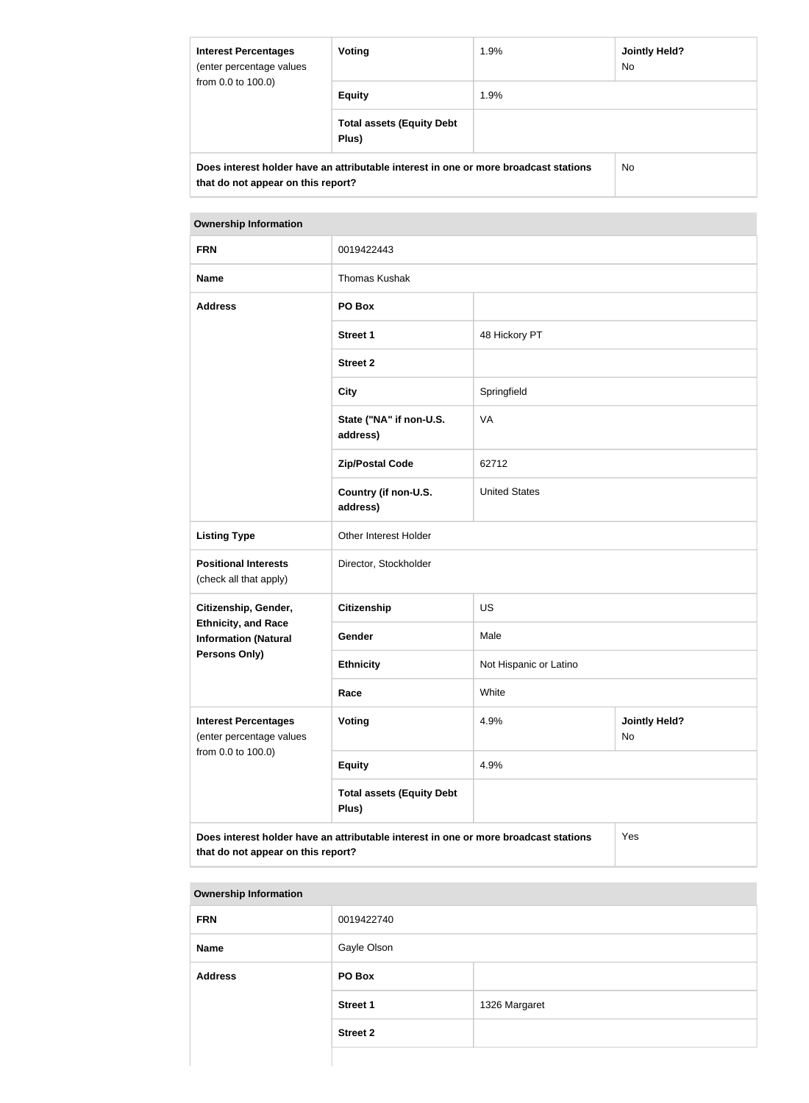| <b>Interest Percentages</b><br>(enter percentage values<br>from 0.0 to 100.0)                                              | Voting                                    | 1.9% | Jointly Held?<br>No. |
|----------------------------------------------------------------------------------------------------------------------------|-------------------------------------------|------|----------------------|
|                                                                                                                            | <b>Equity</b>                             | 1.9% |                      |
|                                                                                                                            | <b>Total assets (Equity Debt</b><br>Plus) |      |                      |
| Does interest holder have an attributable interest in one or more broadcast stations<br>that do not appear on this report? |                                           |      | No.                  |

| <b>FRN</b>                                                | 0019422443                                                                           |                        |                            |
|-----------------------------------------------------------|--------------------------------------------------------------------------------------|------------------------|----------------------------|
| <b>Name</b>                                               | <b>Thomas Kushak</b>                                                                 |                        |                            |
| <b>Address</b>                                            | PO Box                                                                               |                        |                            |
|                                                           | <b>Street 1</b>                                                                      | 48 Hickory PT          |                            |
|                                                           | <b>Street 2</b>                                                                      |                        |                            |
|                                                           | <b>City</b>                                                                          | Springfield            |                            |
|                                                           | State ("NA" if non-U.S.<br>address)                                                  | VA                     |                            |
|                                                           | <b>Zip/Postal Code</b>                                                               | 62712                  |                            |
|                                                           | Country (if non-U.S.<br>address)                                                     | <b>United States</b>   |                            |
| <b>Listing Type</b>                                       | Other Interest Holder                                                                |                        |                            |
| <b>Positional Interests</b><br>(check all that apply)     | Director, Stockholder                                                                |                        |                            |
| Citizenship, Gender,                                      | <b>Citizenship</b>                                                                   | <b>US</b>              |                            |
| <b>Ethnicity, and Race</b><br><b>Information (Natural</b> | Gender                                                                               | Male                   |                            |
| <b>Persons Only)</b>                                      | <b>Ethnicity</b>                                                                     | Not Hispanic or Latino |                            |
|                                                           | Race                                                                                 | White                  |                            |
| <b>Interest Percentages</b><br>(enter percentage values   | <b>Voting</b>                                                                        | 4.9%                   | <b>Jointly Held?</b><br>No |
| from 0.0 to 100.0)                                        | <b>Equity</b>                                                                        | 4.9%                   |                            |
|                                                           | <b>Total assets (Equity Debt</b><br>Plus)                                            |                        |                            |
| that do not appear on this report?                        | Does interest holder have an attributable interest in one or more broadcast stations |                        | Yes                        |

| <b>Ownership Information</b> |                 |               |
|------------------------------|-----------------|---------------|
| <b>FRN</b>                   | 0019422740      |               |
| <b>Name</b>                  | Gayle Olson     |               |
| <b>Address</b>               | PO Box          |               |
|                              | <b>Street 1</b> | 1326 Margaret |
|                              | <b>Street 2</b> |               |
|                              |                 |               |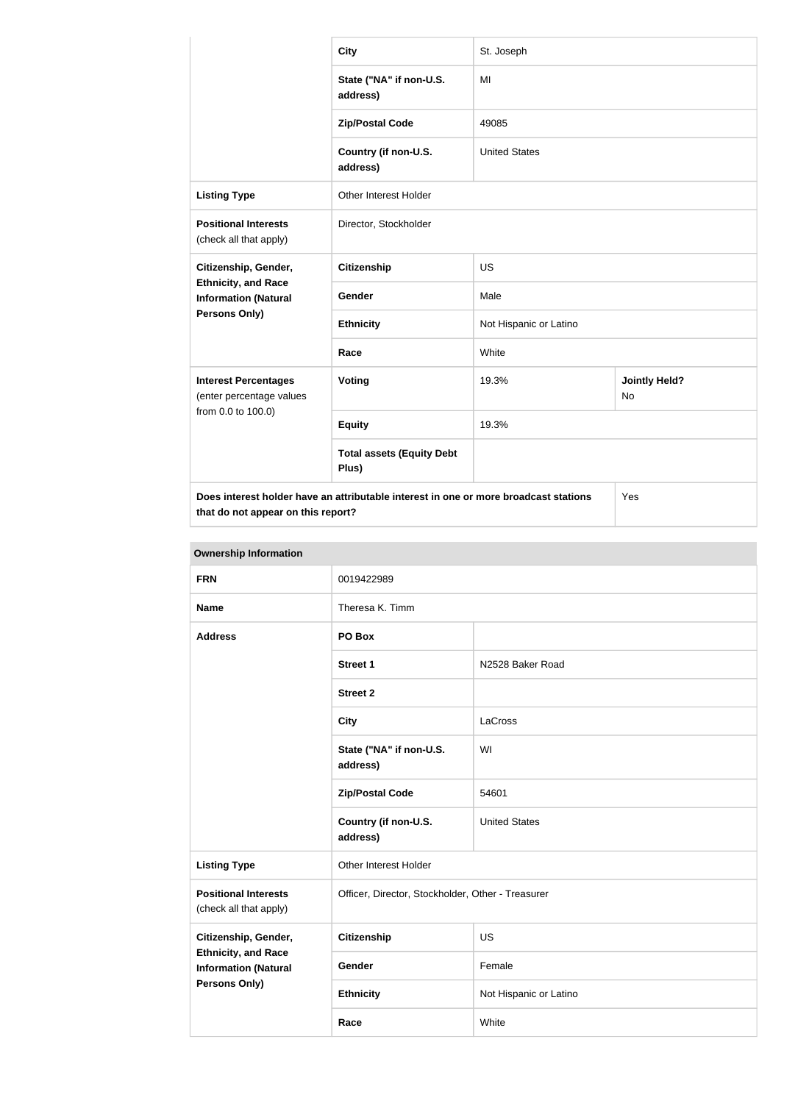|                                                                                                                                   | <b>City</b>                               | St. Joseph             |                                   |
|-----------------------------------------------------------------------------------------------------------------------------------|-------------------------------------------|------------------------|-----------------------------------|
|                                                                                                                                   | State ("NA" if non-U.S.<br>address)       | MI                     |                                   |
|                                                                                                                                   | <b>Zip/Postal Code</b>                    | 49085                  |                                   |
|                                                                                                                                   | Country (if non-U.S.<br>address)          | <b>United States</b>   |                                   |
| <b>Listing Type</b>                                                                                                               | <b>Other Interest Holder</b>              |                        |                                   |
| <b>Positional Interests</b><br>(check all that apply)                                                                             | Director, Stockholder                     |                        |                                   |
| Citizenship, Gender,                                                                                                              | <b>Citizenship</b>                        | <b>US</b>              |                                   |
| <b>Ethnicity, and Race</b><br><b>Information (Natural</b>                                                                         | Gender                                    | Male                   |                                   |
| Persons Only)                                                                                                                     | <b>Ethnicity</b>                          | Not Hispanic or Latino |                                   |
|                                                                                                                                   | Race                                      | White                  |                                   |
| <b>Interest Percentages</b><br>(enter percentage values                                                                           | <b>Voting</b>                             | 19.3%                  | <b>Jointly Held?</b><br><b>No</b> |
| from 0.0 to 100.0)                                                                                                                | <b>Equity</b>                             | 19.3%                  |                                   |
|                                                                                                                                   | <b>Total assets (Equity Debt</b><br>Plus) |                        |                                   |
| Does interest holder have an attributable interest in one or more broadcast stations<br>Yes<br>that do not appear on this report? |                                           |                        |                                   |

| <b>Ownership Information</b>                                                      |                                                   |                        |  |
|-----------------------------------------------------------------------------------|---------------------------------------------------|------------------------|--|
| <b>FRN</b>                                                                        | 0019422989                                        |                        |  |
| <b>Name</b>                                                                       | Theresa K. Timm                                   |                        |  |
| <b>Address</b>                                                                    | PO Box                                            |                        |  |
|                                                                                   | <b>Street 1</b>                                   | N2528 Baker Road       |  |
|                                                                                   | <b>Street 2</b>                                   |                        |  |
|                                                                                   | <b>City</b>                                       | LaCross                |  |
|                                                                                   | State ("NA" if non-U.S.<br>address)               | WI                     |  |
|                                                                                   | <b>Zip/Postal Code</b>                            | 54601                  |  |
|                                                                                   | Country (if non-U.S.<br>address)                  | <b>United States</b>   |  |
| <b>Listing Type</b>                                                               | Other Interest Holder                             |                        |  |
| <b>Positional Interests</b><br>(check all that apply)                             | Officer, Director, Stockholder, Other - Treasurer |                        |  |
| Citizenship, Gender,                                                              | <b>Citizenship</b>                                | <b>US</b>              |  |
| <b>Ethnicity, and Race</b><br><b>Information (Natural</b><br><b>Persons Only)</b> | Gender                                            | Female                 |  |
|                                                                                   | <b>Ethnicity</b>                                  | Not Hispanic or Latino |  |
|                                                                                   | Race                                              | White                  |  |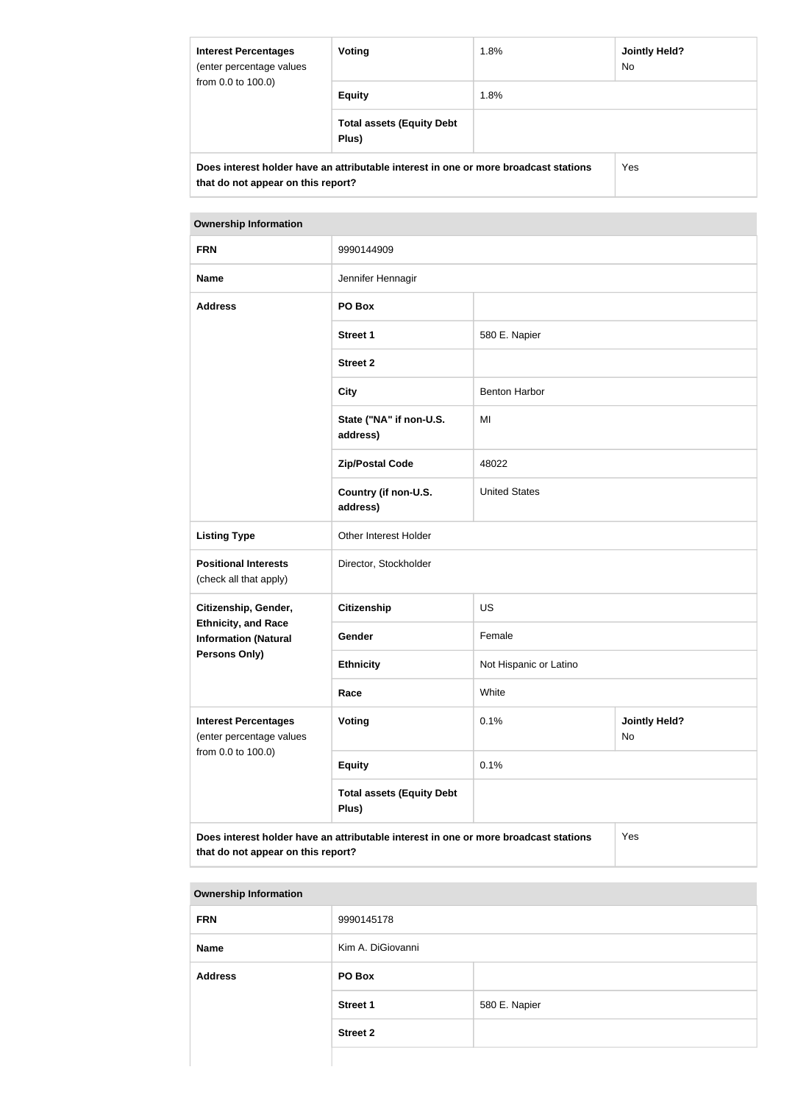| <b>Interest Percentages</b><br>(enter percentage values<br>from 0.0 to 100.0)                                              | Voting                                    | 1.8% | Jointly Held?<br>No. |
|----------------------------------------------------------------------------------------------------------------------------|-------------------------------------------|------|----------------------|
|                                                                                                                            | <b>Equity</b>                             | 1.8% |                      |
|                                                                                                                            | <b>Total assets (Equity Debt</b><br>Plus) |      |                      |
| Does interest holder have an attributable interest in one or more broadcast stations<br>that do not appear on this report? |                                           |      | Yes                  |

| <b>FRN</b>                                                                                                                        | 9990144909                                |                        |                            |
|-----------------------------------------------------------------------------------------------------------------------------------|-------------------------------------------|------------------------|----------------------------|
| <b>Name</b>                                                                                                                       | Jennifer Hennagir                         |                        |                            |
| <b>Address</b>                                                                                                                    | PO Box                                    |                        |                            |
|                                                                                                                                   | <b>Street 1</b>                           | 580 E. Napier          |                            |
|                                                                                                                                   | <b>Street 2</b>                           |                        |                            |
|                                                                                                                                   | <b>City</b>                               | <b>Benton Harbor</b>   |                            |
|                                                                                                                                   | State ("NA" if non-U.S.<br>address)       | MI                     |                            |
|                                                                                                                                   | <b>Zip/Postal Code</b>                    | 48022                  |                            |
|                                                                                                                                   | Country (if non-U.S.<br>address)          | <b>United States</b>   |                            |
| <b>Listing Type</b>                                                                                                               | Other Interest Holder                     |                        |                            |
| <b>Positional Interests</b><br>(check all that apply)                                                                             | Director, Stockholder                     |                        |                            |
| Citizenship, Gender,                                                                                                              | <b>Citizenship</b>                        | <b>US</b>              |                            |
| <b>Ethnicity, and Race</b><br><b>Information (Natural</b>                                                                         | Gender                                    | Female                 |                            |
| <b>Persons Only)</b>                                                                                                              | <b>Ethnicity</b>                          | Not Hispanic or Latino |                            |
|                                                                                                                                   | Race                                      | White                  |                            |
| <b>Interest Percentages</b><br>(enter percentage values<br>from 0.0 to 100.0)                                                     | <b>Voting</b>                             | 0.1%                   | <b>Jointly Held?</b><br>No |
|                                                                                                                                   | <b>Equity</b>                             | 0.1%                   |                            |
|                                                                                                                                   | <b>Total assets (Equity Debt</b><br>Plus) |                        |                            |
| Does interest holder have an attributable interest in one or more broadcast stations<br>Yes<br>that do not appear on this report? |                                           |                        |                            |

| <b>Ownership Information</b> |                   |               |  |
|------------------------------|-------------------|---------------|--|
| <b>FRN</b>                   | 9990145178        |               |  |
| <b>Name</b>                  | Kim A. DiGiovanni |               |  |
| <b>Address</b>               | PO Box            |               |  |
|                              | <b>Street 1</b>   | 580 E. Napier |  |
|                              | <b>Street 2</b>   |               |  |
|                              |                   |               |  |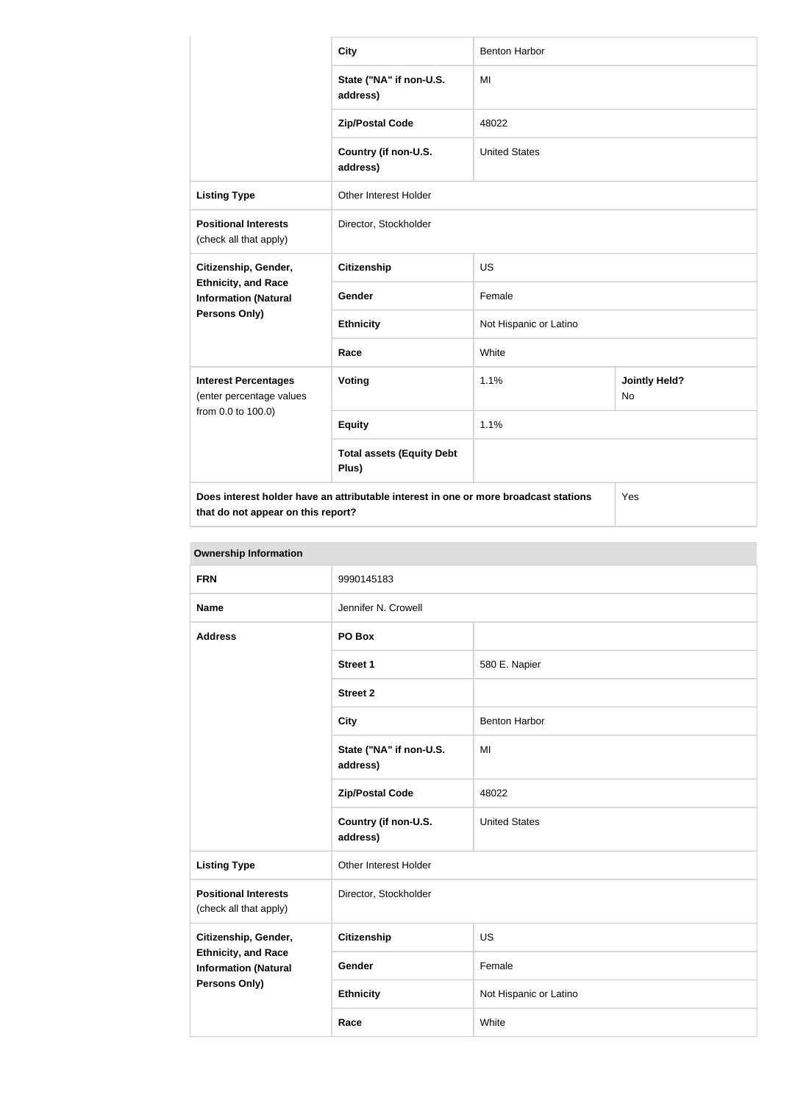|                                                                                                                            | <b>City</b>                               | <b>Benton Harbor</b>   |                                   |
|----------------------------------------------------------------------------------------------------------------------------|-------------------------------------------|------------------------|-----------------------------------|
|                                                                                                                            | State ("NA" if non-U.S.<br>address)       | MI                     |                                   |
|                                                                                                                            | <b>Zip/Postal Code</b>                    | 48022                  |                                   |
|                                                                                                                            | Country (if non-U.S.<br>address)          | <b>United States</b>   |                                   |
| <b>Listing Type</b>                                                                                                        | Other Interest Holder                     |                        |                                   |
| <b>Positional Interests</b><br>(check all that apply)                                                                      | Director, Stockholder                     |                        |                                   |
| Citizenship, Gender,                                                                                                       | <b>Citizenship</b>                        | <b>US</b>              |                                   |
| <b>Ethnicity, and Race</b><br><b>Information (Natural</b>                                                                  | <b>Gender</b>                             | Female                 |                                   |
| Persons Only)                                                                                                              | <b>Ethnicity</b>                          | Not Hispanic or Latino |                                   |
|                                                                                                                            | Race                                      | White                  |                                   |
| <b>Interest Percentages</b><br>(enter percentage values<br>from 0.0 to 100.0)                                              | <b>Voting</b>                             | 1.1%                   | <b>Jointly Held?</b><br><b>No</b> |
|                                                                                                                            | <b>Equity</b>                             | 1.1%                   |                                   |
|                                                                                                                            | <b>Total assets (Equity Debt</b><br>Plus) |                        |                                   |
| Does interest holder have an attributable interest in one or more broadcast stations<br>that do not appear on this report? |                                           |                        | Yes                               |

| <b>Ownership Information</b>                                                      |                                     |                        |  |
|-----------------------------------------------------------------------------------|-------------------------------------|------------------------|--|
| <b>FRN</b>                                                                        | 9990145183                          |                        |  |
| <b>Name</b>                                                                       | Jennifer N. Crowell                 |                        |  |
| <b>Address</b>                                                                    | PO Box                              |                        |  |
|                                                                                   | <b>Street 1</b>                     | 580 E. Napier          |  |
|                                                                                   | <b>Street 2</b>                     |                        |  |
|                                                                                   | <b>City</b>                         | <b>Benton Harbor</b>   |  |
|                                                                                   | State ("NA" if non-U.S.<br>address) | MI                     |  |
|                                                                                   | <b>Zip/Postal Code</b>              | 48022                  |  |
|                                                                                   | Country (if non-U.S.<br>address)    | <b>United States</b>   |  |
| <b>Listing Type</b>                                                               | Other Interest Holder               |                        |  |
| <b>Positional Interests</b><br>(check all that apply)                             | Director, Stockholder               |                        |  |
| Citizenship, Gender,                                                              | <b>Citizenship</b>                  | <b>US</b>              |  |
| <b>Ethnicity, and Race</b><br><b>Information (Natural</b><br><b>Persons Only)</b> | Gender                              | Female                 |  |
|                                                                                   | <b>Ethnicity</b>                    | Not Hispanic or Latino |  |
|                                                                                   | Race                                | White                  |  |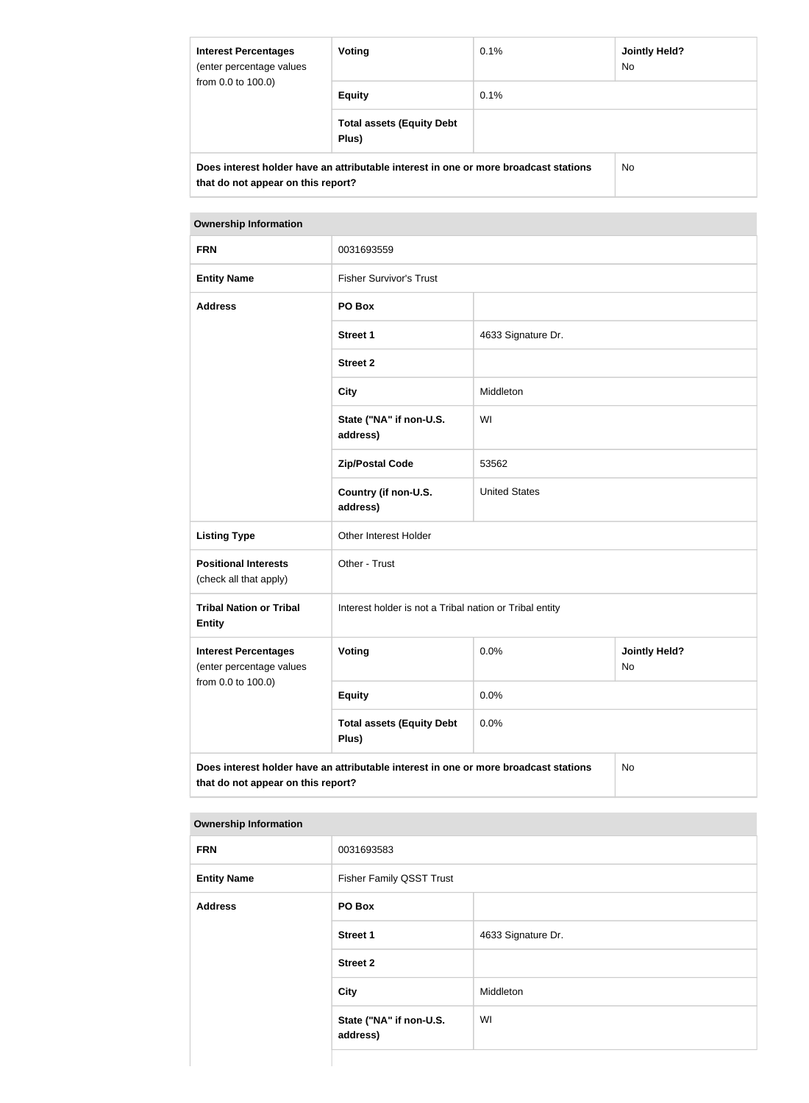| <b>Interest Percentages</b><br>(enter percentage values<br>from 0.0 to 100.0)                                              | <b>Voting</b>                             | 0.1% | <b>Jointly Held?</b><br>No. |
|----------------------------------------------------------------------------------------------------------------------------|-------------------------------------------|------|-----------------------------|
|                                                                                                                            | <b>Equity</b>                             | 0.1% |                             |
|                                                                                                                            | <b>Total assets (Equity Debt</b><br>Plus) |      |                             |
| Does interest holder have an attributable interest in one or more broadcast stations<br>that do not appear on this report? |                                           | No.  |                             |

| <b>FRN</b>                                                                                                                       | 0031693559                                              |                      |                            |
|----------------------------------------------------------------------------------------------------------------------------------|---------------------------------------------------------|----------------------|----------------------------|
| <b>Entity Name</b>                                                                                                               | <b>Fisher Survivor's Trust</b>                          |                      |                            |
| <b>Address</b>                                                                                                                   | PO Box                                                  |                      |                            |
|                                                                                                                                  | <b>Street 1</b>                                         | 4633 Signature Dr.   |                            |
|                                                                                                                                  | <b>Street 2</b>                                         |                      |                            |
|                                                                                                                                  | <b>City</b>                                             | Middleton            |                            |
|                                                                                                                                  | State ("NA" if non-U.S.<br>address)                     | WI                   |                            |
|                                                                                                                                  | <b>Zip/Postal Code</b>                                  | 53562                |                            |
|                                                                                                                                  | Country (if non-U.S.<br>address)                        | <b>United States</b> |                            |
| <b>Listing Type</b>                                                                                                              | Other Interest Holder                                   |                      |                            |
| <b>Positional Interests</b><br>(check all that apply)                                                                            | Other - Trust                                           |                      |                            |
| <b>Tribal Nation or Tribal</b><br><b>Entity</b>                                                                                  | Interest holder is not a Tribal nation or Tribal entity |                      |                            |
| <b>Interest Percentages</b><br>(enter percentage values<br>from 0.0 to 100.0)                                                    | Voting                                                  | 0.0%                 | <b>Jointly Held?</b><br>No |
|                                                                                                                                  | <b>Equity</b>                                           | 0.0%                 |                            |
|                                                                                                                                  | <b>Total assets (Equity Debt</b><br>Plus)               | 0.0%                 |                            |
| Does interest holder have an attributable interest in one or more broadcast stations<br>No<br>that do not appear on this report? |                                                         |                      |                            |

| <b>FRN</b>         | 0031693583                          |                    |
|--------------------|-------------------------------------|--------------------|
| <b>Entity Name</b> | <b>Fisher Family QSST Trust</b>     |                    |
| <b>Address</b>     | PO Box                              |                    |
|                    | Street 1                            | 4633 Signature Dr. |
|                    | <b>Street 2</b>                     |                    |
|                    | City                                | Middleton          |
|                    | State ("NA" if non-U.S.<br>address) | WI                 |
|                    |                                     |                    |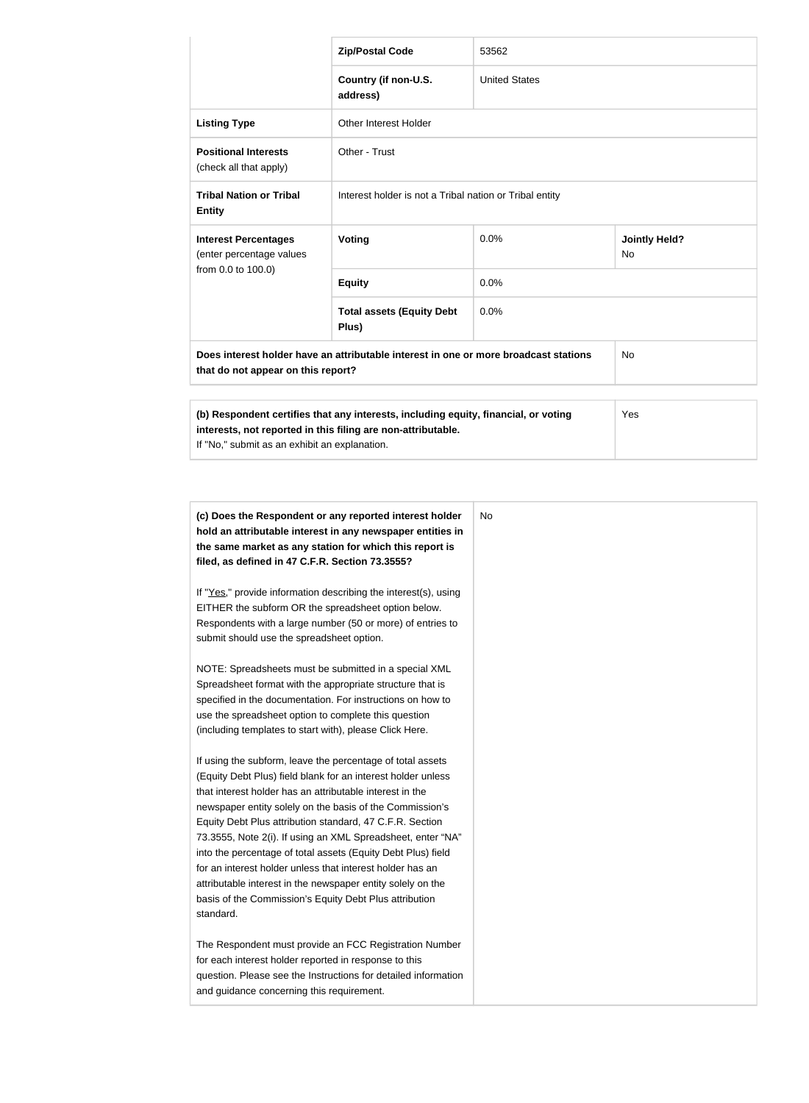|                                                                                                                                                                                                             | <b>Zip/Postal Code</b>                                  | 53562                |                            |
|-------------------------------------------------------------------------------------------------------------------------------------------------------------------------------------------------------------|---------------------------------------------------------|----------------------|----------------------------|
|                                                                                                                                                                                                             | Country (if non-U.S.<br>address)                        | <b>United States</b> |                            |
| <b>Listing Type</b>                                                                                                                                                                                         | <b>Other Interest Holder</b>                            |                      |                            |
| <b>Positional Interests</b><br>(check all that apply)                                                                                                                                                       | Other - Trust                                           |                      |                            |
| <b>Tribal Nation or Tribal</b><br><b>Entity</b>                                                                                                                                                             | Interest holder is not a Tribal nation or Tribal entity |                      |                            |
| <b>Interest Percentages</b><br>(enter percentage values                                                                                                                                                     | <b>Voting</b>                                           | 0.0%                 | <b>Jointly Held?</b><br>No |
| from 0.0 to 100.0)                                                                                                                                                                                          | <b>Equity</b>                                           | 0.0%                 |                            |
|                                                                                                                                                                                                             | <b>Total assets (Equity Debt</b><br>Plus)               | 0.0%                 |                            |
| Does interest holder have an attributable interest in one or more broadcast stations<br><b>No</b><br>that do not appear on this report?                                                                     |                                                         |                      |                            |
| (b) Respondent certifies that any interests, including equity, financial, or voting<br>Yes<br>interests, not reported in this filing are non-attributable.<br>If "No," submit as an exhibit an explanation. |                                                         |                      |                            |

| (c) Does the Respondent or any reported interest holder<br>hold an attributable interest in any newspaper entities in | No. |
|-----------------------------------------------------------------------------------------------------------------------|-----|
| the same market as any station for which this report is                                                               |     |
| filed, as defined in 47 C.F.R. Section 73.3555?                                                                       |     |
| If "Yes," provide information describing the interest(s), using                                                       |     |
| EITHER the subform OR the spreadsheet option below.                                                                   |     |
| Respondents with a large number (50 or more) of entries to                                                            |     |
| submit should use the spreadsheet option.                                                                             |     |
| NOTE: Spreadsheets must be submitted in a special XML                                                                 |     |
| Spreadsheet format with the appropriate structure that is                                                             |     |
| specified in the documentation. For instructions on how to                                                            |     |
| use the spreadsheet option to complete this question                                                                  |     |
| (including templates to start with), please Click Here.                                                               |     |
| If using the subform, leave the percentage of total assets                                                            |     |
| (Equity Debt Plus) field blank for an interest holder unless                                                          |     |
| that interest holder has an attributable interest in the                                                              |     |
| newspaper entity solely on the basis of the Commission's                                                              |     |
| Equity Debt Plus attribution standard, 47 C.F.R. Section                                                              |     |
| 73.3555, Note 2(i). If using an XML Spreadsheet, enter "NA"                                                           |     |
| into the percentage of total assets (Equity Debt Plus) field                                                          |     |
| for an interest holder unless that interest holder has an                                                             |     |
| attributable interest in the newspaper entity solely on the                                                           |     |
| basis of the Commission's Equity Debt Plus attribution<br>standard.                                                   |     |
|                                                                                                                       |     |
| The Respondent must provide an FCC Registration Number                                                                |     |
| for each interest holder reported in response to this                                                                 |     |
| question. Please see the Instructions for detailed information                                                        |     |
| and guidance concerning this requirement.                                                                             |     |